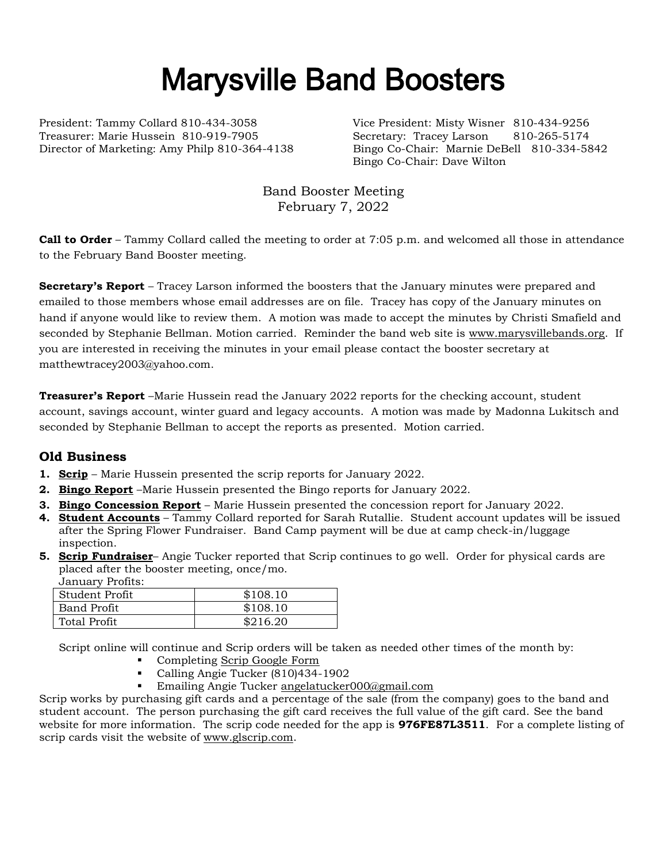# Marysville Band Boosters

President: Tammy Collard 810-434-3058 Vice President: Misty Wisner 810-434-9256 Treasurer: Marie Hussein 810-919-7905 Secretary: Tracey Larson 810-265-5174

Director of Marketing: Amy Philp 810-364-4138 Bingo Co-Chair: Marnie DeBell 810-334-5842 Bingo Co-Chair: Dave Wilton

> Band Booster Meeting February 7, 2022

**Call to Order** – Tammy Collard called the meeting to order at 7:05 p.m. and welcomed all those in attendance to the February Band Booster meeting.

**Secretary's Report** – Tracey Larson informed the boosters that the January minutes were prepared and emailed to those members whose email addresses are on file. Tracey has copy of the January minutes on hand if anyone would like to review them. A motion was made to accept the minutes by Christi Smafield and seconded by Stephanie Bellman. Motion carried. Reminder the band web site is [www.marysvillebands.org.](http://www.marysvillebands.org/) If you are interested in receiving the minutes in your email please contact the booster secretary at matthewtracey2003@yahoo.com.

**Treasurer's Report** –Marie Hussein read the January 2022 reports for the checking account, student account, savings account, winter guard and legacy accounts. A motion was made by Madonna Lukitsch and seconded by Stephanie Bellman to accept the reports as presented. Motion carried.

## **Old Business**

- **1. Scrip** Marie Hussein presented the scrip reports for January 2022.
- **2. Bingo Report** –Marie Hussein presented the Bingo reports for January 2022.
- **3. Bingo Concession Report** Marie Hussein presented the concession report for January 2022.
- **4. Student Accounts** Tammy Collard reported for Sarah Rutallie. Student account updates will be issued after the Spring Flower Fundraiser. Band Camp payment will be due at camp check-in/luggage inspection.
- **5. Scrip Fundraiser** Angie Tucker reported that Scrip continues to go well. Order for physical cards are placed after the booster meeting, once/mo. .<br>January Profits:

| January Froms.     |          |
|--------------------|----------|
| Student Profit     | \$108.10 |
| <b>Band Profit</b> | \$108.10 |
| Total Profit       | \$216.20 |

Script online will continue and Scrip orders will be taken as needed other times of the month by:

- Completing [Scrip Google Form](https://forms.gle/Ryvw2wHxTdg1j3Yj6)
- Calling Angie Tucker (810)434-1902
- Emailing Angie Tucker [angelatucker000@gmail.com](mailto:angelatucker000@gmail.com)

Scrip works by purchasing gift cards and a percentage of the sale (from the company) goes to the band and student account. The person purchasing the gift card receives the full value of the gift card. See the band website for more information. The scrip code needed for the app is **976FE87L3511**. For a complete listing of scrip cards visit the website of [www.glscrip.com.](http://www.glscrip.com/)